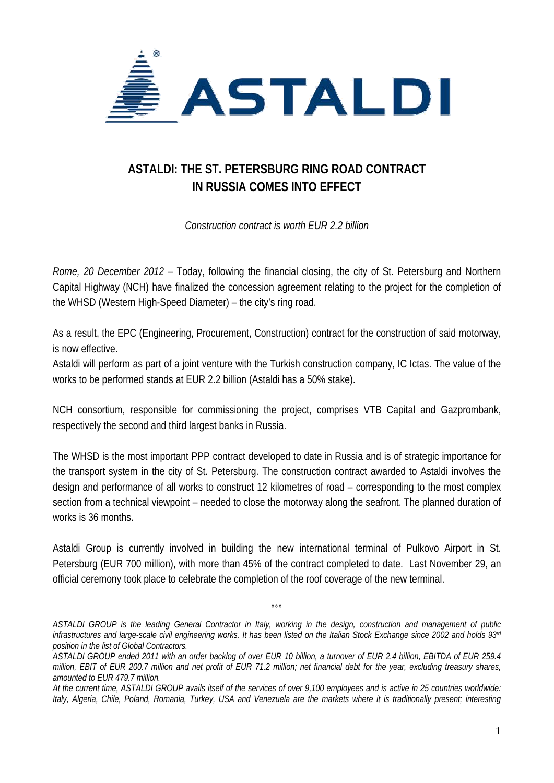

## **ASTALDI: THE ST. PETERSBURG RING ROAD CONTRACT IN RUSSIA COMES INTO EFFECT**

*Construction contract is worth EUR 2.2 billion* 

*Rome, 20 December 2012* – Today, following the financial closing, the city of St. Petersburg and Northern Capital Highway (NCH) have finalized the concession agreement relating to the project for the completion of the WHSD (Western High-Speed Diameter) – the city's ring road.

As a result, the EPC (Engineering, Procurement, Construction) contract for the construction of said motorway, is now effective.

Astaldi will perform as part of a joint venture with the Turkish construction company, IC Ictas. The value of the works to be performed stands at EUR 2.2 billion (Astaldi has a 50% stake).

NCH consortium, responsible for commissioning the project, comprises VTB Capital and Gazprombank, respectively the second and third largest banks in Russia.

The WHSD is the most important PPP contract developed to date in Russia and is of strategic importance for the transport system in the city of St. Petersburg. The construction contract awarded to Astaldi involves the design and performance of all works to construct 12 kilometres of road – corresponding to the most complex section from a technical viewpoint – needed to close the motorway along the seafront. The planned duration of works is 36 months.

Astaldi Group is currently involved in building the new international terminal of Pulkovo Airport in St. Petersburg (EUR 700 million), with more than 45% of the contract completed to date. Last November 29, an official ceremony took place to celebrate the completion of the roof coverage of the new terminal.

*ASTALDI GROUP is the leading General Contractor in Italy, working in the design, construction and management of public infrastructures and large-scale civil engineering works. It has been listed on the Italian Stock Exchange since 2002 and holds 93rd position in the list of Global Contractors.* 

 $^{\circ}$ 

*ASTALDI GROUP ended 2011 with an order backlog of over EUR 10 billion, a turnover of EUR 2.4 billion, EBITDA of EUR 259.4 million, EBIT of EUR 200.7 million and net profit of EUR 71.2 million; net financial debt for the year, excluding treasury shares, amounted to EUR 479.7 million.* 

*At the current time, ASTALDI GROUP avails itself of the services of over 9,100 employees and is active in 25 countries worldwide: Italy, Algeria, Chile, Poland, Romania, Turkey, USA and Venezuela are the markets where it is traditionally present; interesting*